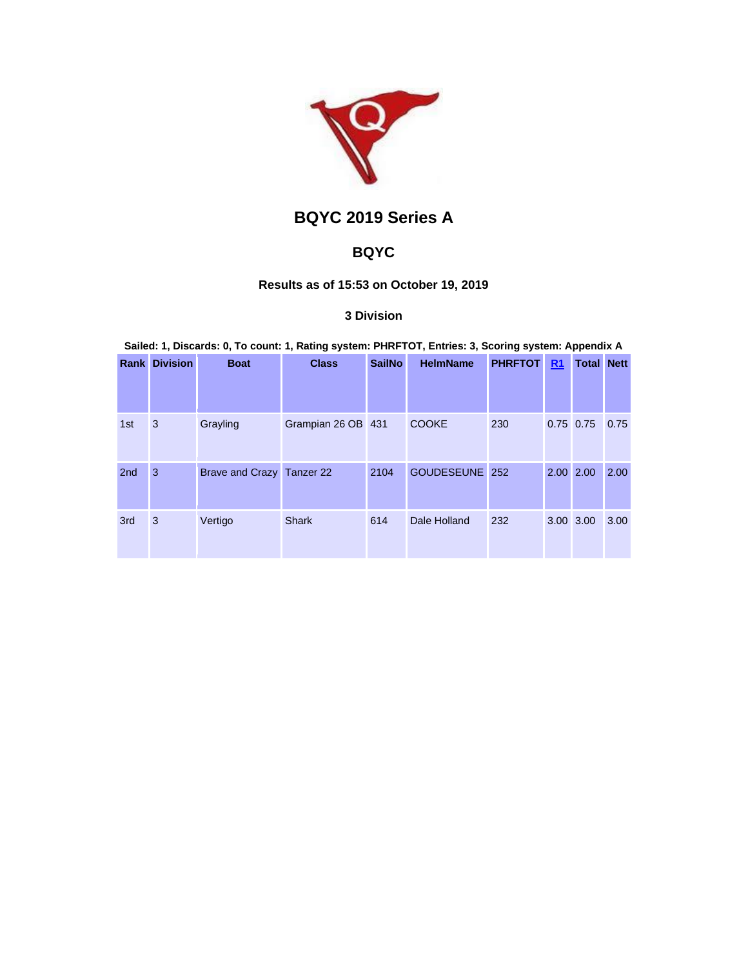

# **BQYC 2019 Series A**

# **BQYC**

# **Results as of 15:53 on October 19, 2019**

# **3 Division**

|                 | <b>Rank Division</b> | <b>Boat</b>               | <b>Class</b>       | <b>SailNo</b> | <b>HelmName</b><br><b>PHRFTOT</b> |     | R <sub>1</sub> | <b>Total Nett</b> |      |
|-----------------|----------------------|---------------------------|--------------------|---------------|-----------------------------------|-----|----------------|-------------------|------|
| 1st             | 3                    | Grayling                  | Grampian 26 OB 431 |               | <b>COOKE</b>                      | 230 |                | $0.75$ 0.75       | 0.75 |
| 2 <sub>nd</sub> | 3                    | Brave and Crazy Tanzer 22 |                    | 2104          | GOUDESEUNE 252                    |     |                | 2.00 2.00         | 2.00 |
| 3rd             | 3                    | Vertigo                   | <b>Shark</b>       | 614           | Dale Holland                      | 232 |                | 3.00 3.00         | 3.00 |

**Sailed: 1, Discards: 0, To count: 1, Rating system: PHRFTOT, Entries: 3, Scoring system: Appendix A**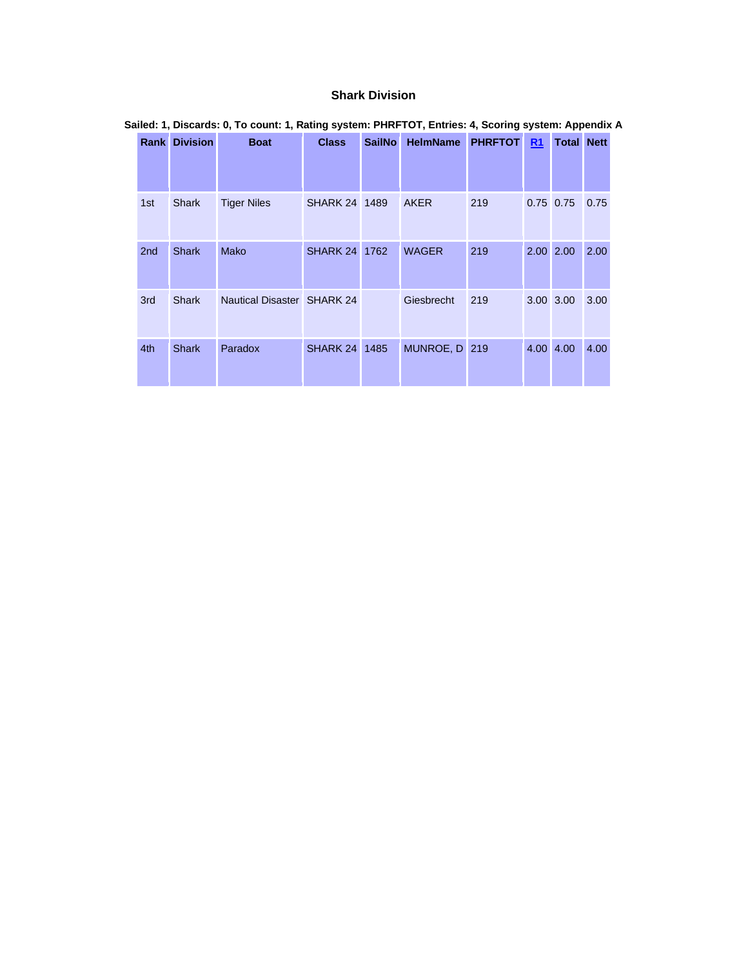### **Shark Division**

|                 | <b>Rank Division</b><br><b>Boat</b> |                                   | <b>Class</b>         | <b>SailNo</b> | <b>HelmName</b> | <b>PHRFTOT</b> | R1          | <b>Total Nett</b> |      |
|-----------------|-------------------------------------|-----------------------------------|----------------------|---------------|-----------------|----------------|-------------|-------------------|------|
|                 |                                     |                                   |                      |               |                 |                |             |                   |      |
| 1st             | <b>Shark</b>                        | <b>Tiger Niles</b>                | SHARK 24 1489        |               | <b>AKER</b>     | 219            | $0.75$ 0.75 |                   | 0.75 |
| 2 <sub>nd</sub> | <b>Shark</b>                        | Mako                              | <b>SHARK 24 1762</b> |               | <b>WAGER</b>    | 219            | 2.00 2.00   |                   | 2.00 |
| 3rd             | <b>Shark</b>                        | <b>Nautical Disaster SHARK 24</b> |                      |               | Giesbrecht      | 219            | 3.00 3.00   |                   | 3.00 |
| 4th             | <b>Shark</b>                        | Paradox                           | <b>SHARK 24 1485</b> |               | MUNROE, D 219   |                | 4.00 4.00   |                   | 4.00 |

## **Sailed: 1, Discards: 0, To count: 1, Rating system: PHRFTOT, Entries: 4, Scoring system: Appendix A**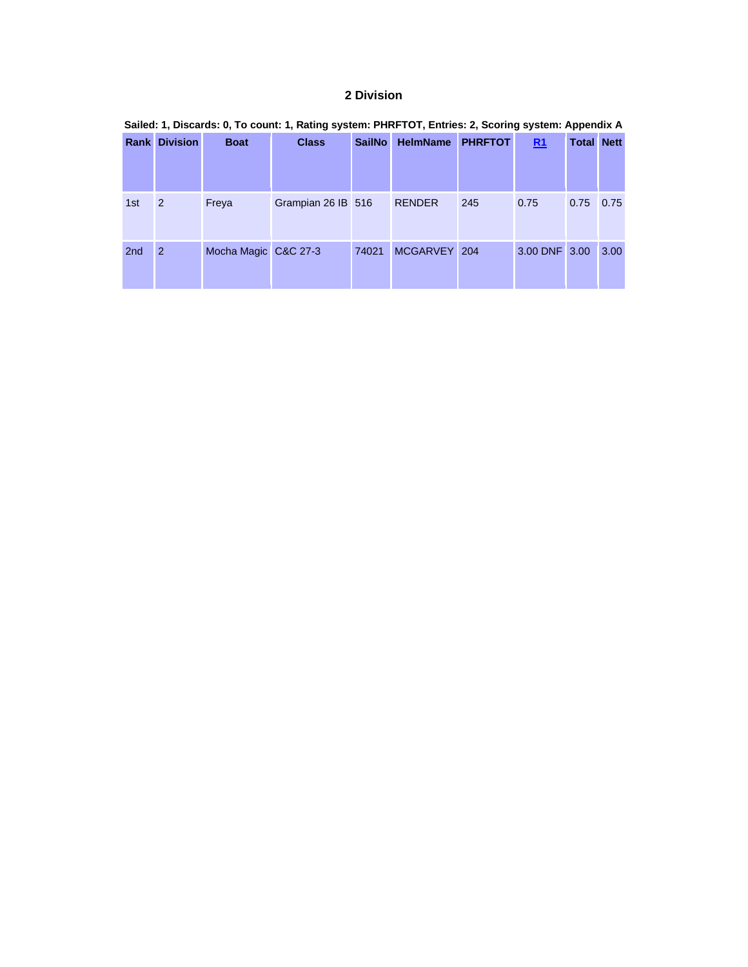# **2 Division**

|                 | <u>aanaan ili sinaan ah ah iyo aaniin ili iyaniid alamanii 1 inti 1 a ili miningi maariind alamanii ilibbaridiin i</u> |                      |                    |               |                 |                |               |                   |      |  |  |  |  |
|-----------------|------------------------------------------------------------------------------------------------------------------------|----------------------|--------------------|---------------|-----------------|----------------|---------------|-------------------|------|--|--|--|--|
|                 | <b>Rank Division</b>                                                                                                   | <b>Boat</b>          | <b>Class</b>       | <b>SailNo</b> | <b>HelmName</b> | <b>PHRFTOT</b> | R1            | <b>Total Nett</b> |      |  |  |  |  |
| 1st             | $\overline{2}$                                                                                                         | Freya                | Grampian 26 IB 516 |               | <b>RENDER</b>   | 245            | 0.75          | $0.75$ 0.75       |      |  |  |  |  |
| 2 <sub>nd</sub> | $\overline{2}$                                                                                                         | Mocha Magic C&C 27-3 |                    | 74021         | MCGARVEY 204    |                | 3.00 DNF 3.00 |                   | 3.00 |  |  |  |  |

# **Sailed: 1, Discards: 0, To count: 1, Rating system: PHRFTOT, Entries: 2, Scoring system: Appendix A**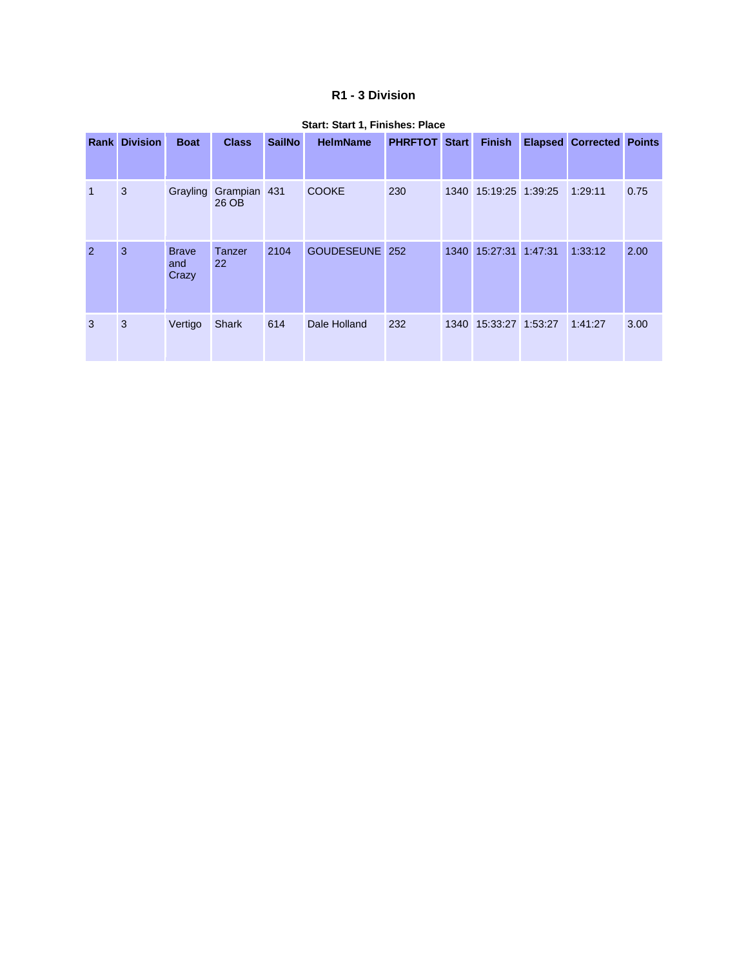### **R1 - 3 Division**

| Rank         | <b>Division</b> | <b>Boat</b>                  | <b>Class</b>          | <b>SailNo</b> | <b>HelmName</b> | <b>PHRFTOT</b> | <b>Start</b> | <b>Finish</b>         | <b>Elapsed</b> | <b>Corrected Points</b> |      |
|--------------|-----------------|------------------------------|-----------------------|---------------|-----------------|----------------|--------------|-----------------------|----------------|-------------------------|------|
| $\mathbf{1}$ | 3               | Grayling                     | Grampian 431<br>26 OB |               | <b>COOKE</b>    | 230            |              | 1340 15:19:25 1:39:25 |                | 1:29:11                 | 0.75 |
| 2            | 3               | <b>Brave</b><br>and<br>Crazy | <b>Tanzer</b><br>22   | 2104          | GOUDESEUNE 252  |                | 1340         | 15:27:31 1:47:31      |                | 1:33:12                 | 2.00 |
| 3            | 3               | Vertigo                      | <b>Shark</b>          | 614           | Dale Holland    | 232            |              | 1340 15:33:27 1:53:27 |                | 1:41:27                 | 3.00 |

#### **Start: Start 1, Finishes: Place**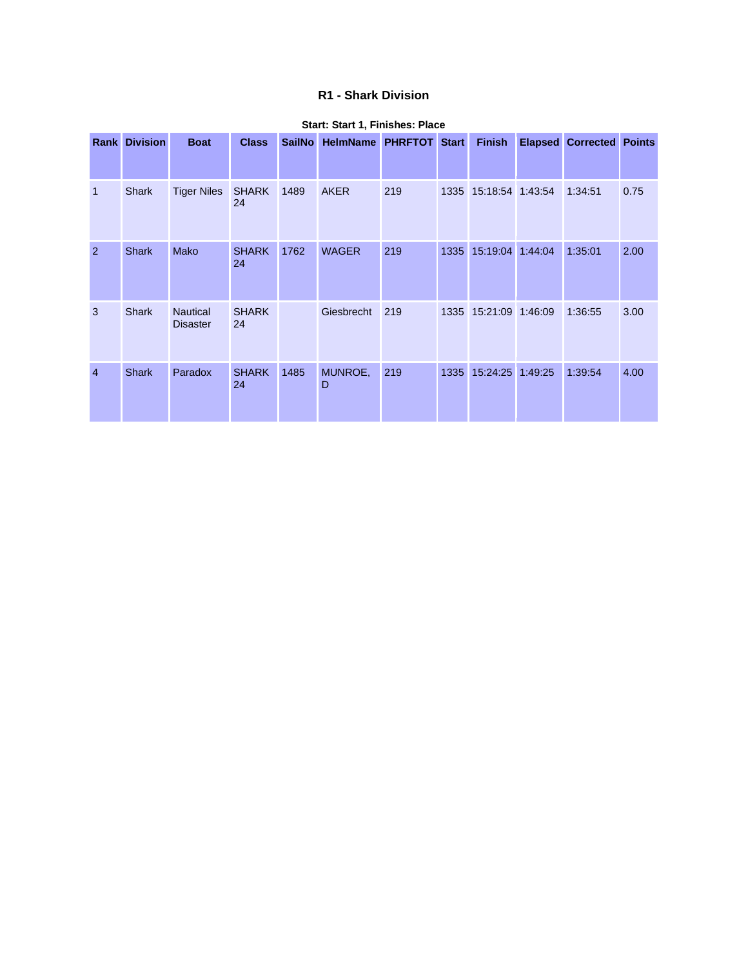### **R1 - Shark Division**

|                | <b>Rank Division</b> | <b>Boat</b>                        | <b>Class</b>       | <b>SailNo</b> | <b>HelmName</b> | <b>PHRFTOT Start</b> |      | <b>Finish</b>         | <b>Elapsed</b> | <b>Corrected Points</b> |      |
|----------------|----------------------|------------------------------------|--------------------|---------------|-----------------|----------------------|------|-----------------------|----------------|-------------------------|------|
| $\overline{1}$ | Shark                | <b>Tiger Niles</b>                 | <b>SHARK</b><br>24 | 1489          | <b>AKER</b>     | 219                  |      | 1335 15:18:54 1:43:54 |                | 1:34:51                 | 0.75 |
| $\overline{2}$ | <b>Shark</b>         | Mako                               | <b>SHARK</b><br>24 | 1762          | <b>WAGER</b>    | 219                  | 1335 | 15:19:04              | 1:44:04        | 1:35:01                 | 2.00 |
| 3              | <b>Shark</b>         | <b>Nautical</b><br><b>Disaster</b> | <b>SHARK</b><br>24 |               | Giesbrecht      | 219                  |      | 1335 15:21:09 1:46:09 |                | 1:36:55                 | 3.00 |
| $\overline{4}$ | <b>Shark</b>         | Paradox                            | <b>SHARK</b><br>24 | 1485          | MUNROE,<br>D    | 219                  | 1335 | 15:24:25              | 1:49:25        | 1:39:54                 | 4.00 |

#### **Start: Start 1, Finishes: Place**